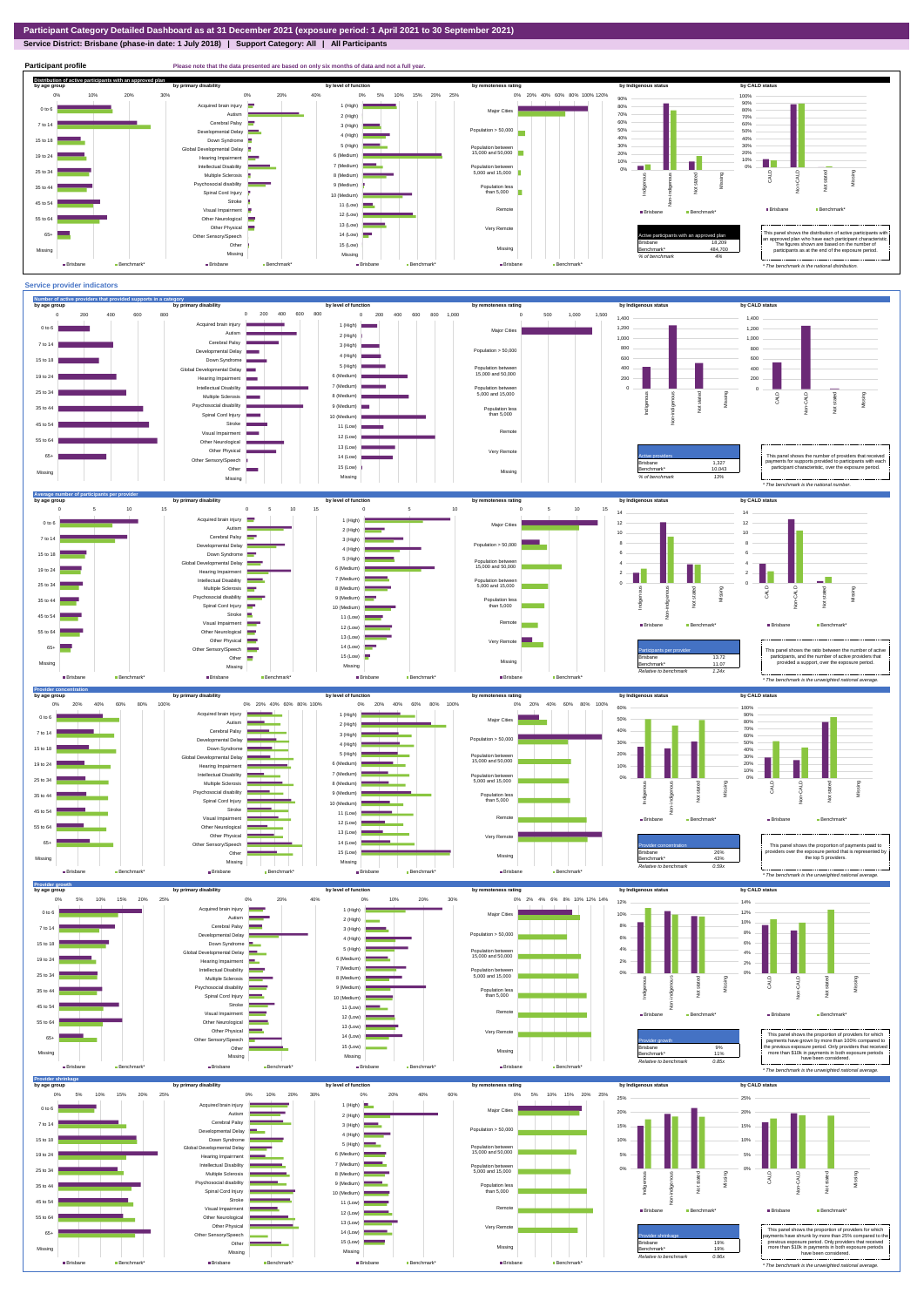## **Service District: Brisbane (phase-in date: 1 July 2018) | Support Category: All | All Participants**



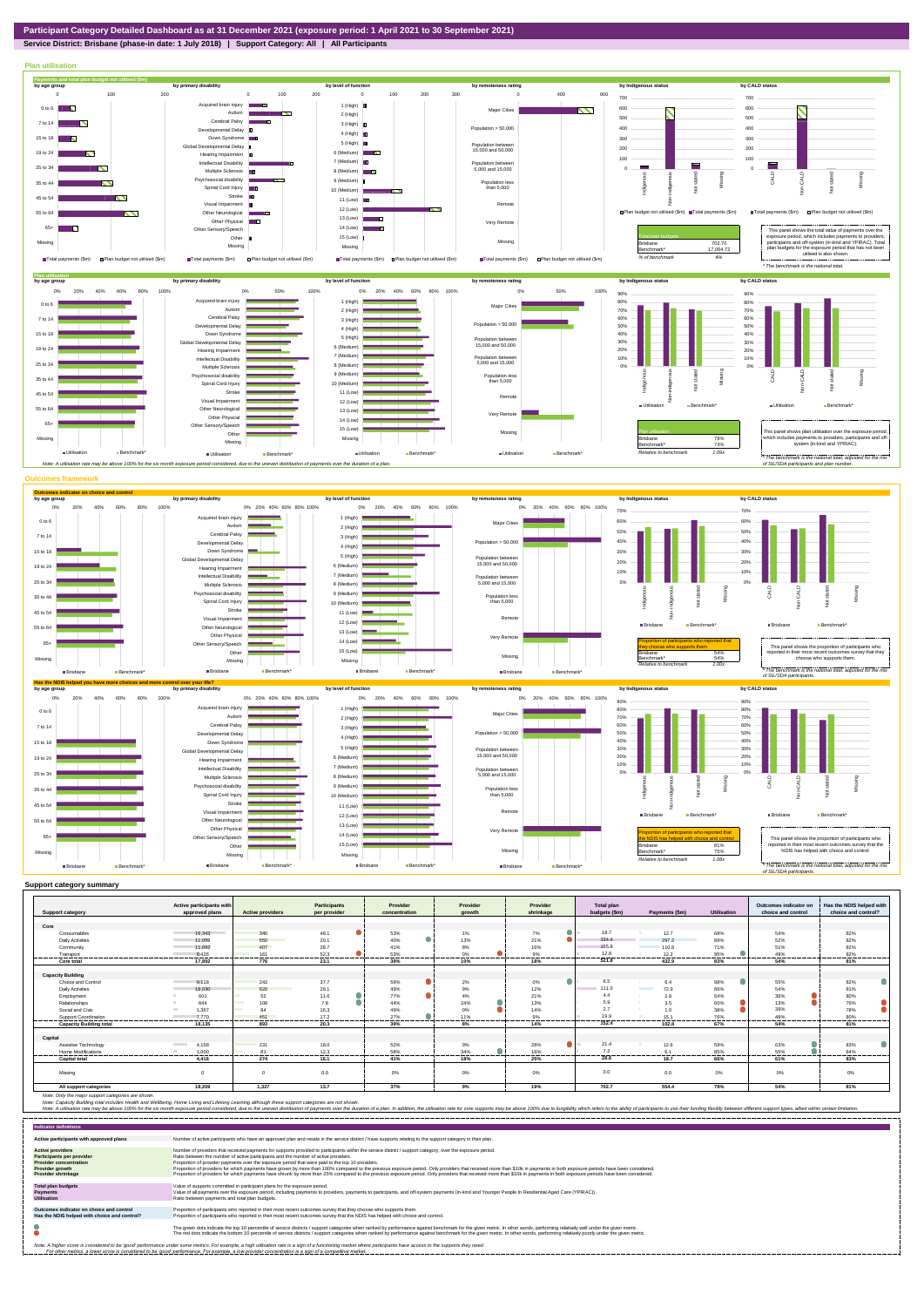## **Service District: Brisbane (phase-in date: 1 July 2018) | Support Category: All | All Participants**



|                                | Active participants with          |                         | Participants           | Provider         | Provider         | Provider           | Total plan    |                            |                | Outcomes indicator on | Has the NDIS helped with |
|--------------------------------|-----------------------------------|-------------------------|------------------------|------------------|------------------|--------------------|---------------|----------------------------|----------------|-----------------------|--------------------------|
| <b>Support category</b>        | approved plans                    | <b>Active providers</b> | per provider           | concentration    | growth           | shrinkage          | budgets (\$m) | Payments (\$m)             | Utilisation    | choice and control    | choice and control?      |
| Core                           |                                   |                         |                        |                  |                  |                    |               |                            |                |                       |                          |
| Consumables                    | 16.343                            | 340                     | 48.1                   | 53%              | 1%               | $\bullet$<br>7%    | 18.7          | 12.7                       | 68%            | 54%                   | 82%                      |
| <b>Daily Activities</b>        | 11.059                            | 550                     | 20.1                   | 40%              | 13%              | Δ<br>21%           | 334.4         | 297.2                      | 89%            | 52%                   | 82%                      |
| Community                      | 11.692                            | 407                     | 28.7                   | 41%              | 8%               | 16%                | 155.8         | 110.8                      | 71%            | 51%                   | 82%                      |
|                                | 8.426                             | 161                     | 52.3                   | 53%              | 0%               | 9%                 | 12.8          | 12.2                       | 95%            | 49%                   | 82%                      |
| Transport<br>Core total        | --------------<br>17.892          | .<br>776                | ---------<br>.<br>23.1 | ---------<br>39% | <br>.<br>10%     | ---------<br>18%   | <br>521.8     | --------<br>432.9          | -------<br>83% | .<br>54%              | <br>81%                  |
|                                |                                   |                         |                        |                  |                  |                    |               |                            |                |                       |                          |
| <b>Capacity Building</b>       |                                   |                         |                        |                  |                  |                    |               |                            |                |                       |                          |
| Choice and Control             | 9.118                             | 242                     | 37.7                   | 59%              | 2%               | $\bullet$<br>$0\%$ | 6.5           | 6.4                        | 98%            | 55%                   | 82%                      |
| <b>Daily Activities</b>        | 18.030                            | 620                     | 29.1                   | 49%              | 9%               | 12%                | 111.0         | <b>The Company</b><br>72.9 | 66%            | 54%                   | 81%                      |
| Employment                     | 601                               | 52                      | 11.6                   | 77%              | 4%               | 21%                | 4.4           | 2.8                        | 64%            | 36%                   | 80%                      |
| Relationships                  | 844                               | 108                     | 7.8                    | 44%              | $\bullet$<br>24% | 13%                | 5.9           | 3.5                        | 60%            | 13%                   | 76%                      |
| Social and Civic               | 1.367<br><b>Contract Contract</b> | 84                      | 16.3                   | 49%              | 0%               | 14%                | 2.7           | 1.0                        | 38%            | 39%                   | 78%                      |
| Support Coordination           | 7.770                             | 451                     | 17.2                   | 27%              | 11%              | 9%                 | 19.9          | 15.1                       | 76%            | 48%                   | 80%                      |
| <b>Capacity Building total</b> | 18.135                            | 893                     | -------<br>20.3        | 39%              | .<br>8%          | <br>14%            | <br>152.4     | 102.8                      | 67%            | <br>54%               | -------<br>81%           |
|                                |                                   |                         |                        |                  |                  |                    |               |                            |                |                       |                          |
| Capital                        |                                   |                         |                        |                  |                  |                    |               |                            |                |                       |                          |
| Assistive Technology           | 4.158<br><b>Contract Contract</b> | 231                     | 18.0                   | 52%              | 9%               | Δ.<br>28%          | 21.4          | 12.6                       | 59%            | 63%                   | 83%                      |
| Home Modifications             | 1.000                             | 81                      | 12.3<br>               | 58%              | 34%              | 16%                | 7.2           | 6.1                        | 85%            | 55%                   | 84%                      |
| <b>Capital total</b>           | 4.416                             | 274                     | 16.1                   | 41%              | 18%              | 25%                | 28.6          | 18.7                       | 66%            | 61%                   | 83%                      |
| Missina                        |                                   |                         | 0.0                    | 0%               | 0%               | 0%                 | 0.0           | 0.0                        | $0\%$          | 0%                    | 0%                       |
| All support categories         | 18.209                            | 1.327                   | 13.7                   | 37%              | 9%               | 19%                | 702.7         | 554.4                      | 79%            | 54%                   | 81%                      |

Note: Only the major support categories are shown.<br>Note: Capacity Building total individual Wellbeing, Home Living and Lifelong Learning although these support categories are not shown.<br>Note: A utilisation rate may be abov

| <b>Indicator definitions</b>                                                                                                                        |                                                                                                                                                                                                                                                                                                                                                                                                                                                                                                                                                                                                                                                                                                                                                                                                                 |
|-----------------------------------------------------------------------------------------------------------------------------------------------------|-----------------------------------------------------------------------------------------------------------------------------------------------------------------------------------------------------------------------------------------------------------------------------------------------------------------------------------------------------------------------------------------------------------------------------------------------------------------------------------------------------------------------------------------------------------------------------------------------------------------------------------------------------------------------------------------------------------------------------------------------------------------------------------------------------------------|
| Active participants with approved plans                                                                                                             | Number of active participants who have an approved plan and reside in the service district / have supports relating to the support category in their plan.                                                                                                                                                                                                                                                                                                                                                                                                                                                                                                                                                                                                                                                      |
| <b>Active providers</b><br><b>Participants per provider</b><br><b>Provider concentration</b><br><b>Provider growth</b><br><b>Provider shrinkage</b> | Number of providers that received payments for supports provided to participants within the service district / support category, over the exposure period.<br>Ratio between the number of active participants and the number of active providers.<br>Proportion of provider payments over the exposure period that were paid to the top 10 providers.<br>Proportion of providers for which payments have grown by more than 100% compared to the previous exposure period. Only providers that received more than \$10k in payments in both exposure periods have been considered.<br>Proportion of providers for which payments have shrunk by more than 25% compared to the previous exposure period. Only providers that received more than \$10k in payments in both exposure periods have been considered. |
| <b>Total plan budgets</b><br><b>Payments</b><br><b>Utilisation</b>                                                                                  | Value of supports committed in participant plans for the exposure period.<br>Value of all payments over the exposure period, including payments to providers, payments to participants, and off-system payments (in-kind and Younger People In Residential Aged Care (YPIRAC)).<br>Ratio between payments and total plan budgets.                                                                                                                                                                                                                                                                                                                                                                                                                                                                               |
| Outcomes indicator on choice and control<br>Has the NDIS helped with choice and control?                                                            | Proportion of participants who reported in their most recent outcomes survey that they choose who supports them.<br>Proportion of participants who reported in their most recent outcomes survey that the NDIS has helped with choice and control.                                                                                                                                                                                                                                                                                                                                                                                                                                                                                                                                                              |
|                                                                                                                                                     | The green dots indicate the top 10 percentile of service districts / support categories when ranked by performance against benchmark for the given metric. In other words, performing relatively well under the given metric.<br>The red dots indicate the bottom 10 percentile of service districts / support categories when ranked by performance against benchmark for the given metric. In other words, performing relatively poorly under the given metri                                                                                                                                                                                                                                                                                                                                                 |
|                                                                                                                                                     | Note: A higher score is considered to be 'good' performance under some metrics. For example, a high utilisation rate is a sign of a functioning market where participants have access to the supports they need.<br>For other metrics, a lower score is considered to be 'good' performance. For example, a low provider concentration is a sign of a competitive market.                                                                                                                                                                                                                                                                                                                                                                                                                                       |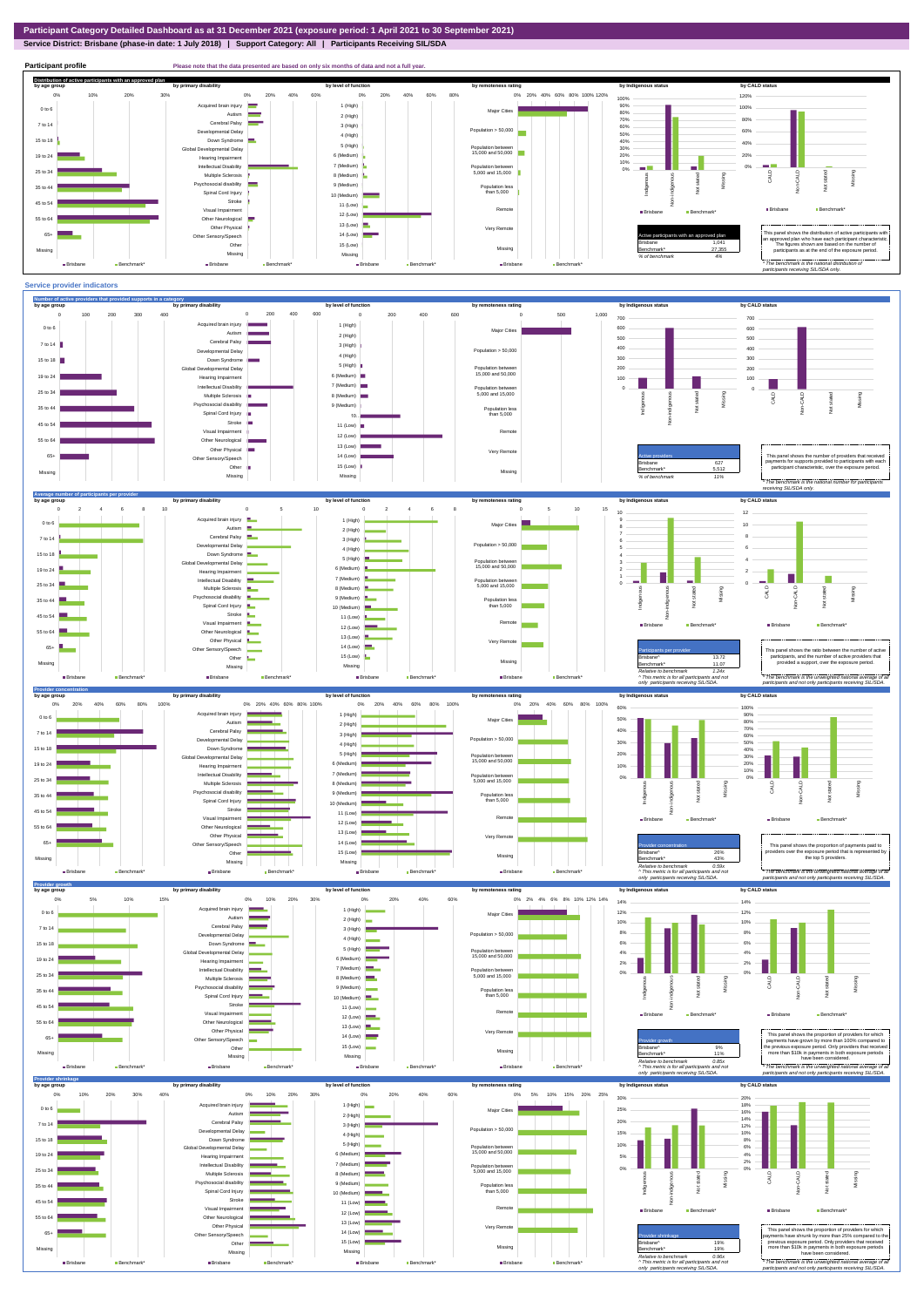## **Service District: Brisbane (phase-in date: 1 July 2018) | Support Category: All | Participants Receiving SIL/SDA**



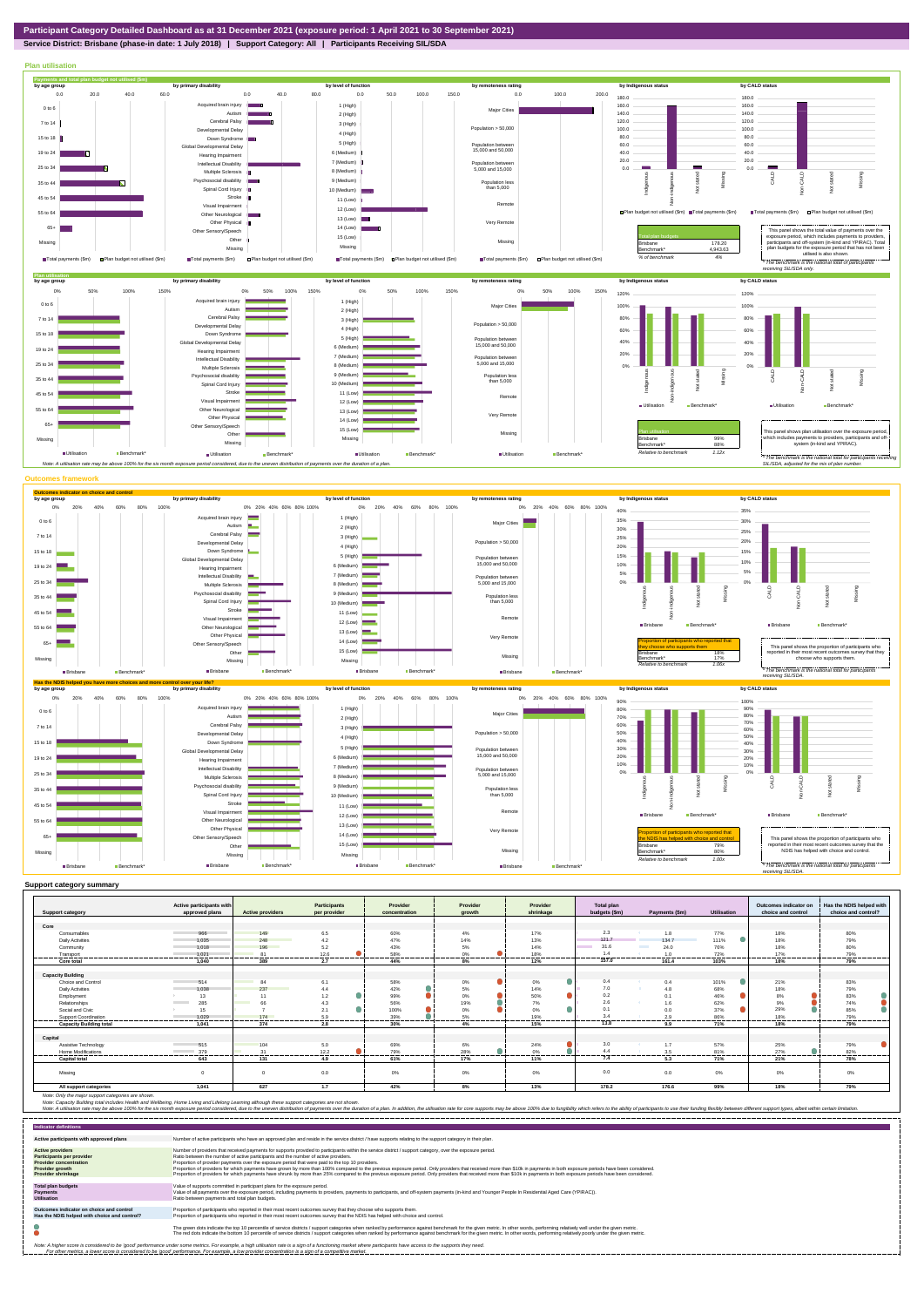

**Service District: Brisbane (phase-in date: 1 July 2018) | Support Category: All | Participants Receiving SIL/SDA**



| <b>Support category</b>        | Active participants with<br>approved plans | <b>Active providers</b> | <b>Participants</b><br>per provider | Provider<br>concentration | Provider<br>arowth | Provider<br>shrinkage | <b>Total plan</b><br>budgets (\$m) | Payments (\$m)                   | <b>Utilisation</b> | Outcomes indicator on<br>choice and control | Has the NDIS helped with<br>choice and control? |
|--------------------------------|--------------------------------------------|-------------------------|-------------------------------------|---------------------------|--------------------|-----------------------|------------------------------------|----------------------------------|--------------------|---------------------------------------------|-------------------------------------------------|
|                                |                                            |                         |                                     |                           |                    |                       |                                    |                                  |                    |                                             |                                                 |
| Core                           |                                            |                         |                                     |                           |                    |                       |                                    |                                  |                    |                                             |                                                 |
| Consumables                    | 966                                        | 149                     | 6.5                                 | 60%                       | 4%                 | 17%                   | 2.3                                | 1.8                              | 77%                | 18%                                         | 80%                                             |
| <b>Daily Activities</b>        | 1.035                                      | 248                     | 4.2                                 | 47%                       | 14%                | 13%                   | 121.7                              | 134.7                            | 111%               | 18%                                         | 79%                                             |
| Community                      | 1.018                                      | 196                     | 5.2                                 | 43%                       | 5%                 | 14%                   | 31.6                               | <b>Contract Contract</b><br>24.0 | 76%                | 18%                                         | 80%                                             |
| Transport                      | 1.021                                      | $^{\circ}$              | 12.6<br>------                      | 58%                       | 0%<br>-------      | 18%                   | 1.4<br>---------                   | 1.0                              | 72%<br>------      | 17%<br>-------                              | 79%<br>-------                                  |
| Core total                     | 1.040                                      | 389                     | 2.7                                 | 44%                       | 8%                 | 12%                   | 157.0                              | 161.4                            | 103%               | 18%                                         | 79%                                             |
|                                |                                            |                         |                                     |                           |                    |                       |                                    |                                  |                    |                                             |                                                 |
| <b>Capacity Building</b>       |                                            |                         |                                     |                           |                    |                       |                                    |                                  |                    |                                             |                                                 |
| Choice and Control             | 514                                        | 84                      | 6.1                                 | 58%                       | 0%                 | 0%                    | 0.4                                | 0.4                              | 101%               | 21%                                         | 83%                                             |
| <b>Daily Activities</b>        | 1.038                                      | 237                     | 4.4                                 | 42%                       | 5%                 | 14%                   | 7.0                                | 4.8                              | 68%                | 18%                                         | 79%                                             |
| Employment                     | 13                                         | 11                      | 1.2                                 | 99%                       | 0%                 | 50%                   | 0.2                                |                                  | 46%                | 8%                                          | 83%                                             |
| Relationships                  | 285                                        | 66                      | 4.3                                 | 56%                       | 19%                | 7%                    | 2.6                                | 1.6                              | 62%                | 9%                                          | 74%                                             |
| Social and Civic               | 15                                         |                         | 2.1                                 | 100%                      | 0%                 | 0%                    | 0.1                                | 0.0                              | 37%                | 29%                                         | 85%                                             |
| Support Coordination           | 1.029<br>.                                 | 174<br>                 | 5.9<br>---------                    | 39%<br>----------         | 5%<br>             | 19%<br>---------      | 34<br>.                            | 2Q<br>.                          | 86%<br>.           | 18%<br>                                     | 79%<br>---------                                |
| <b>Capacity Building total</b> | 1.041                                      | 374                     | 2.8                                 | 30%                       | 4%                 | 15%                   | 13.8                               | 9.9                              | 71%                | 18%                                         | 79%                                             |
|                                |                                            |                         |                                     |                           |                    |                       |                                    |                                  |                    |                                             |                                                 |
| Capital                        |                                            |                         |                                     |                           |                    |                       |                                    |                                  |                    |                                             |                                                 |
| Assistive Technology           | 515                                        | 104                     | 5.0                                 | 69%                       | 6%                 | 24%                   | 3.0                                | 1.7                              | 57%                | 25%                                         | 79%                                             |
| Home Modifications             | 379                                        | 31                      | 12.2                                | 79%                       | 28%                | 0%                    | 4.4                                | 3.5                              | 81%                | 27%                                         | 82%                                             |
| <b>Capital total</b>           | 643                                        | 131                     | 4.9                                 | 61%                       | 17%                | 11%                   | 7.4                                | 5.3                              | 71%                | 21%                                         | 78%                                             |
| Missing                        | $\sim$                                     |                         | 0.0                                 | 0%                        | 0%                 | 0%                    | 0.0                                | 0.0                              | 0%                 | 0%                                          | 0%                                              |
| All support categories         | 1,041                                      | 627                     | 1.7                                 | 42%                       | 8%                 | 13%                   | 178.2                              | 176.6                            | 99%                | 18%                                         | 79%                                             |

Note: Only the major support categories are shown.<br>Note: Capacity Building total individual Wellbeing, Home Living and Lifelong Learning although these support categories are not shown.<br>Note: A utilisation rate may be abov

| <b>Indicator definitions</b>                                                                                                                        |                                                                                                                                                                                                                                                                                                                                                                                                                                                                                                                                                                                                                                                                                                                                                                                                                 |
|-----------------------------------------------------------------------------------------------------------------------------------------------------|-----------------------------------------------------------------------------------------------------------------------------------------------------------------------------------------------------------------------------------------------------------------------------------------------------------------------------------------------------------------------------------------------------------------------------------------------------------------------------------------------------------------------------------------------------------------------------------------------------------------------------------------------------------------------------------------------------------------------------------------------------------------------------------------------------------------|
| Active participants with approved plans                                                                                                             | Number of active participants who have an approved plan and reside in the service district / have supports relating to the support category in their plan.                                                                                                                                                                                                                                                                                                                                                                                                                                                                                                                                                                                                                                                      |
| <b>Active providers</b><br><b>Participants per provider</b><br><b>Provider concentration</b><br><b>Provider growth</b><br><b>Provider shrinkage</b> | Number of providers that received payments for supports provided to participants within the service district / support category, over the exposure period.<br>Ratio between the number of active participants and the number of active providers.<br>Proportion of provider payments over the exposure period that were paid to the top 10 providers.<br>Proportion of providers for which payments have grown by more than 100% compared to the previous exposure period. Only providers that received more than \$10k in payments in both exposure periods have been considered.<br>Proportion of providers for which payments have shrunk by more than 25% compared to the previous exposure period. Only providers that received more than \$10k in payments in both exposure periods have been considered. |
| <b>Total plan budgets</b><br>Payments<br><b>Utilisation</b>                                                                                         | Value of supports committed in participant plans for the exposure period.<br>Value of all payments over the exposure period, including payments to providers, payments to participants, and off-system payments (in-kind and Younger People In Residential Aged Care (YPIRAC)).<br>Ratio between payments and total plan budgets.                                                                                                                                                                                                                                                                                                                                                                                                                                                                               |
| Outcomes indicator on choice and control<br>Has the NDIS helped with choice and control?                                                            | Proportion of participants who reported in their most recent outcomes survey that they choose who supports them.<br>Proportion of participants who reported in their most recent outcomes survey that the NDIS has helped with choice and control.                                                                                                                                                                                                                                                                                                                                                                                                                                                                                                                                                              |
|                                                                                                                                                     | The green dots indicate the top 10 percentile of service districts / support categories when ranked by performance against benchmark for the given metric. In other words, performing relatively well under the given metric.<br>The red dots indicate the bottom 10 percentile of service districts / support categories when ranked by performance against benchmark for the given metric. In other words, performing relatively poorly under the given metri                                                                                                                                                                                                                                                                                                                                                 |
|                                                                                                                                                     | Note: A higher score is considered to be 'good' performance under some metrics. For example, a high utilisation rate is a sign of a functioning market where participants have access to the supports they need.<br>For other metrics, a lower score is considered to be 'good' performance. For example, a low provider concentration is a sign of a competitive market.                                                                                                                                                                                                                                                                                                                                                                                                                                       |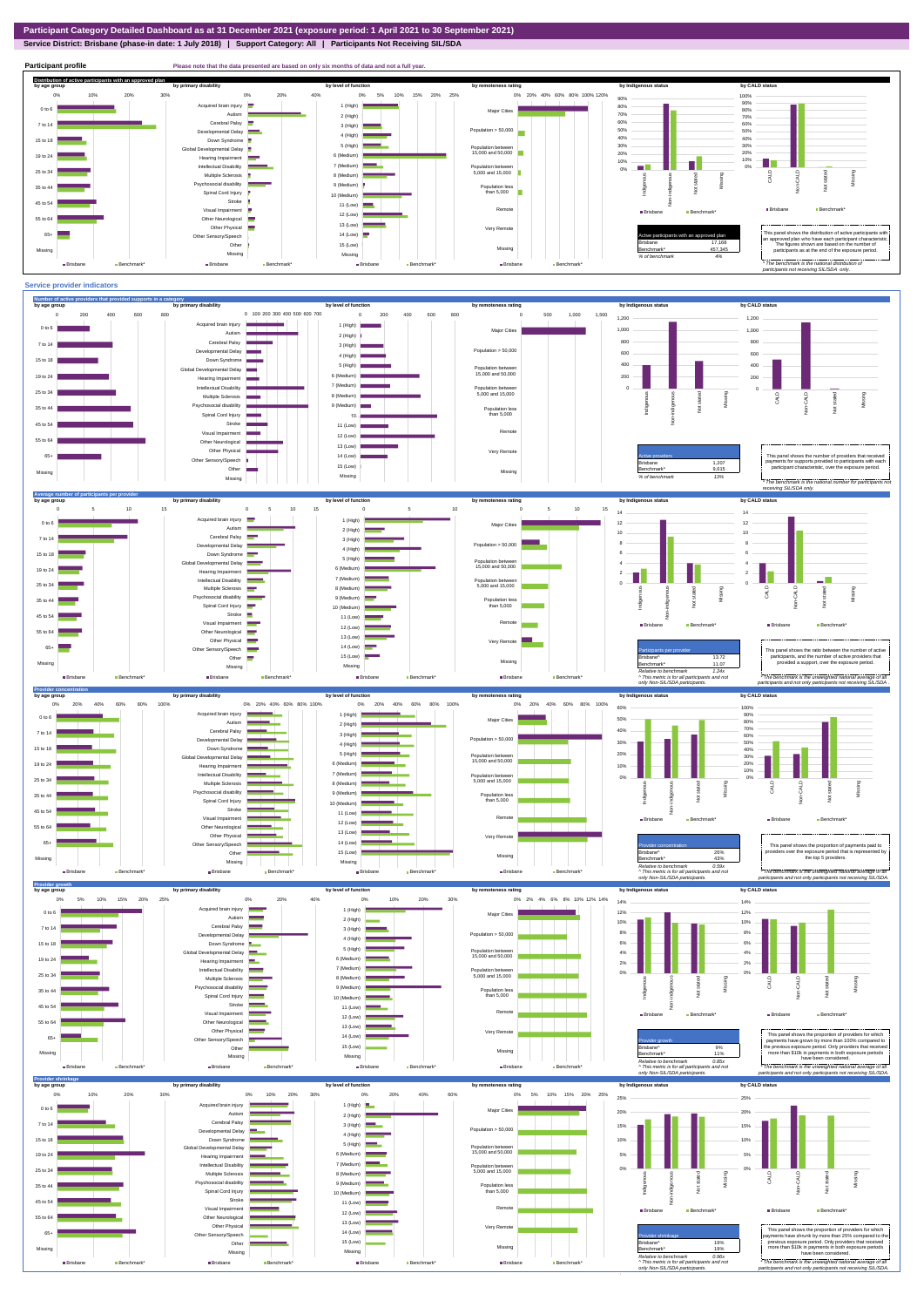**Service District: Brisbane (phase-in date: 1 July 2018) | Support Category: All | Participants Not Receiving SIL/SDA**